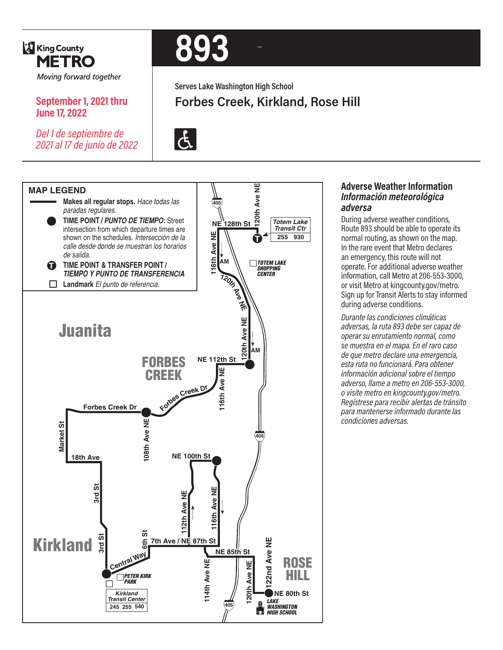

**June 17, 2022**

**September 1, 2021 thru** 

*Del 1 de septiembre de 2021 al 17 de junio de 2022*

# **893**

**Serves Lake Washington High School**

## **Forbes Creek, Kirkland, Rose Hill**





#### **Adverse Weather Information** *Información meteorológica adversa*

During adverse weather conditions, Route 893 should be able to operate its normal routing, as shown on the map. In the rare event that Metro declares an emergency, this route will not operate. For additional adverse weather information, call Metro at 206-553-3000, or visit Metro at kingcounty.gov/metro. Sign up for Transit Alerts to stay informed during adverse conditions.

*Durante las condiciones climáticas adversas, la ruta 893 debe ser capaz de operar su enrutamiento normal, como se muestra en el mapa. En el raro caso de que metro declare una emergencia, esta ruta no funcionará. Para obtener información adicional sobre el tiempo adverso, llame a metro en 206-553-3000, o visite metro en kingcounty.gov/metro. Regístrese para recibir alertas de tránsito para mantenerse informado durante las condiciones adversas.*